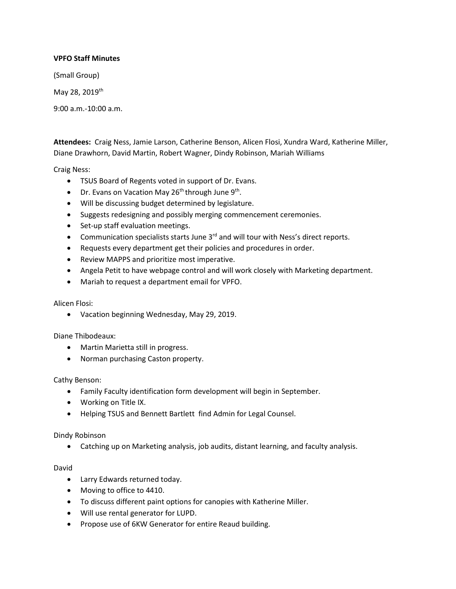# **VPFO Staff Minutes**

(Small Group)

May 28, 2019th

9:00 a.m.-10:00 a.m.

**Attendees:** Craig Ness, Jamie Larson, Catherine Benson, Alicen Flosi, Xundra Ward, Katherine Miller, Diane Drawhorn, David Martin, Robert Wagner, Dindy Robinson, Mariah Williams

Craig Ness:

- TSUS Board of Regents voted in support of Dr. Evans.
- Dr. Evans on Vacation May 26<sup>th</sup> through June  $9<sup>th</sup>$ .
- Will be discussing budget determined by legislature.
- Suggests redesigning and possibly merging commencement ceremonies.
- Set-up staff evaluation meetings.
- Communication specialists starts June 3<sup>rd</sup> and will tour with Ness's direct reports.
- Requests every department get their policies and procedures in order.
- Review MAPPS and prioritize most imperative.
- Angela Petit to have webpage control and will work closely with Marketing department.
- Mariah to request a department email for VPFO.

## Alicen Flosi:

• Vacation beginning Wednesday, May 29, 2019.

## Diane Thibodeaux:

- Martin Marietta still in progress.
- Norman purchasing Caston property.

## Cathy Benson:

- Family Faculty identification form development will begin in September.
- Working on Title IX.
- Helping TSUS and Bennett Bartlett find Admin for Legal Counsel.

## Dindy Robinson

• Catching up on Marketing analysis, job audits, distant learning, and faculty analysis.

### David

- Larry Edwards returned today.
- Moving to office to 4410.
- To discuss different paint options for canopies with Katherine Miller.
- Will use rental generator for LUPD.
- Propose use of 6KW Generator for entire Reaud building.